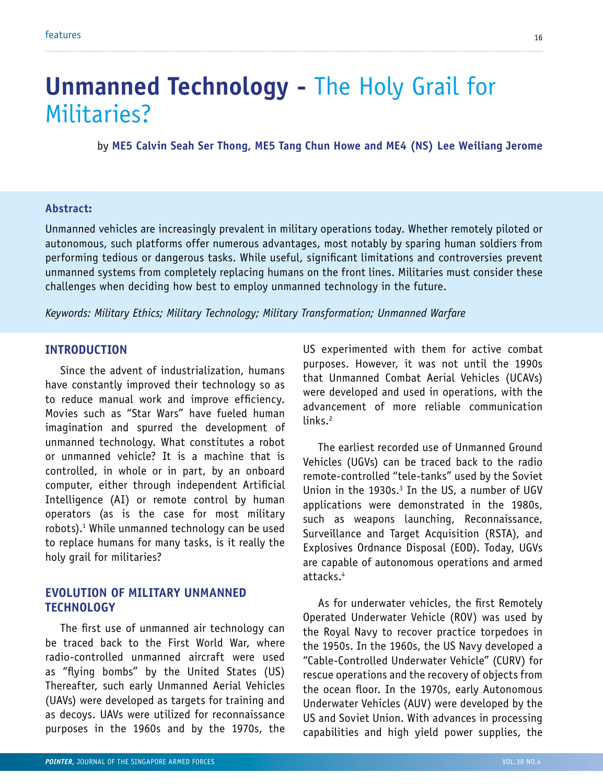# **Unmanned Technology -** The Holy Grail for Militaries?

by **ME5 Calvin Seah Ser Thong, ME5 Tang Chun Howe and ME4 (NS) Lee Weiliang Jerome**

#### **Abstract:**

Unmanned vehicles are increasingly prevalent in military operations today. Whether remotely piloted or autonomous, such platforms offer numerous advantages, most notably by sparing human soldiers from performing tedious or dangerous tasks. While useful, significant limitations and controversies prevent unmanned systems from completely replacing humans on the front lines. Militaries must consider these challenges when deciding how best to employ unmanned technology in the future.

links.<sup>2</sup>

*Keywords: Military Ethics; Military Technology; Military Transformation; Unmanned Warfare*

#### **Introduction**

Since the advent of industrialization, humans have constantly improved their technology so as to reduce manual work and improve efficiency. Movies such as "Star Wars" have fueled human imagination and spurred the development of unmanned technology. What constitutes a robot or unmanned vehicle? It is a machine that is controlled, in whole or in part, by an onboard computer, either through independent Artificial Intelligence (AI) or remote control by human operators (as is the case for most military robots).1 While unmanned technology can be used to replace humans for many tasks, is it really the holy grail for militaries?

#### **Evolution of Military Unmanned Technology**

The first use of unmanned air technology can be traced back to the First World War, where radio-controlled unmanned aircraft were used as "flying bombs" by the United States (US) Thereafter, such early Unmanned Aerial Vehicles (UAVs) were developed as targets for training and as decoys. UAVs were utilized for reconnaissance purposes in the 1960s and by the 1970s, the US experimented with them for active combat purposes. However, it was not until the 1990s that Unmanned Combat Aerial Vehicles (UCAVs) were developed and used in operations, with the advancement of more reliable communication

The earliest recorded use of Unmanned Ground Vehicles (UGVs) can be traced back to the radio remote-controlled "tele-tanks" used by the Soviet Union in the 1930s. $3$  In the US, a number of UGV applications were demonstrated in the 1980s, such as weapons launching, Reconnaissance, Surveillance and Target Acquisition (RSTA), and Explosives Ordnance Disposal (EOD). Today, UGVs are capable of autonomous operations and armed attacks.4

As for underwater vehicles, the first Remotely Operated Underwater Vehicle (ROV) was used by the Royal Navy to recover practice torpedoes in the 1950s. In the 1960s, the US Navy developed a "Cable-Controlled Underwater Vehicle" (CURV) for rescue operations and the recovery of objects from the ocean floor. In the 1970s, early Autonomous Underwater Vehicles (AUV) were developed by the US and Soviet Union. With advances in processing capabilities and high yield power supplies, the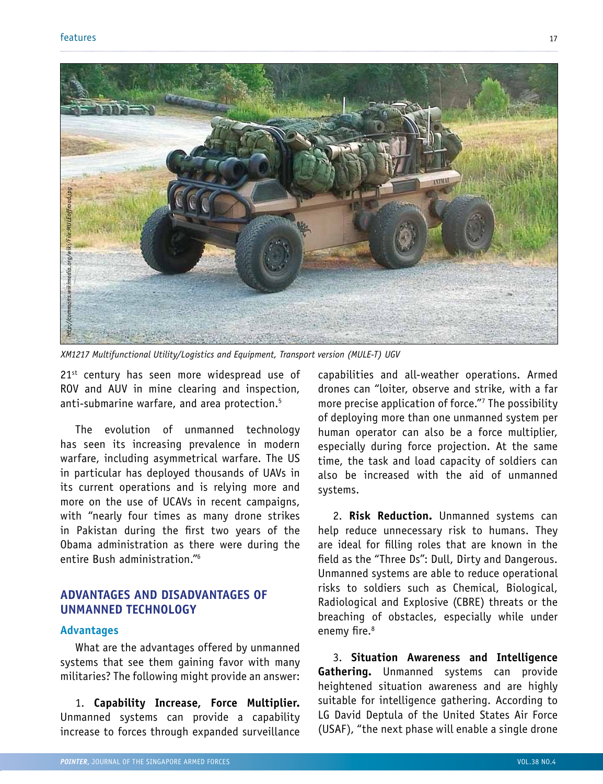

21<sup>st</sup> century has seen more widespread use of ROV and AUV in mine clearing and inspection, anti-submarine warfare, and area protection.<sup>5</sup>

The evolution of unmanned technology has seen its increasing prevalence in modern warfare, including asymmetrical warfare. The US in particular has deployed thousands of UAVs in its current operations and is relying more and more on the use of UCAVs in recent campaigns, with "nearly four times as many drone strikes in Pakistan during the first two years of the Obama administration as there were during the entire Bush administration."6

## **Advantages and Disadvantages of Unmanned Technology**

#### **Advantages**

What are the advantages offered by unmanned systems that see them gaining favor with many militaries? The following might provide an answer:

1. **Capability Increase, Force Multiplier.** Unmanned systems can provide a capability increase to forces through expanded surveillance capabilities and all-weather operations. Armed drones can "loiter, observe and strike, with a far more precise application of force."7 The possibility of deploying more than one unmanned system per human operator can also be a force multiplier, especially during force projection. At the same time, the task and load capacity of soldiers can also be increased with the aid of unmanned systems.

2. **Risk Reduction.** Unmanned systems can help reduce unnecessary risk to humans. They are ideal for filling roles that are known in the field as the "Three Ds": Dull, Dirty and Dangerous. Unmanned systems are able to reduce operational risks to soldiers such as Chemical, Biological, Radiological and Explosive (CBRE) threats or the breaching of obstacles, especially while under enemy fire.<sup>8</sup>

3. **Situation Awareness and Intelligence Gathering.** Unmanned systems can provide heightened situation awareness and are highly suitable for intelligence gathering. According to LG David Deptula of the United States Air Force (USAF), "the next phase will enable a single drone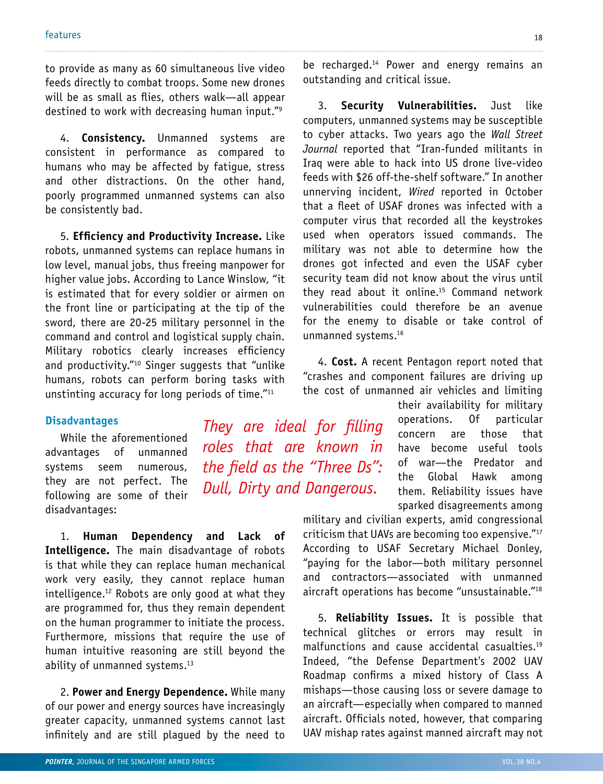to provide as many as 60 simultaneous live video feeds directly to combat troops. Some new drones will be as small as flies, others walk—all appear destined to work with decreasing human input."9

4. **Consistency.** Unmanned systems are consistent in performance as compared to humans who may be affected by fatigue, stress and other distractions. On the other hand, poorly programmed unmanned systems can also be consistently bad.

5. **Efficiency and Productivity Increase.** Like robots, unmanned systems can replace humans in low level, manual jobs, thus freeing manpower for higher value jobs. According to Lance Winslow, "it is estimated that for every soldier or airmen on the front line or participating at the tip of the sword, there are 20-25 military personnel in the command and control and logistical supply chain. Military robotics clearly increases efficiency and productivity."<sup>10</sup> Singer suggests that "unlike humans, robots can perform boring tasks with unstinting accuracy for long periods of time."11

#### **Disadvantages**

While the aforementioned advantages of unmanned systems seem numerous, they are not perfect. The following are some of their disadvantages:

1. **Human Dependency and Lack of Intelligence.** The main disadvantage of robots is that while they can replace human mechanical work very easily, they cannot replace human intelligence.<sup>12</sup> Robots are only good at what they are programmed for, thus they remain dependent on the human programmer to initiate the process. Furthermore, missions that require the use of human intuitive reasoning are still beyond the ability of unmanned systems.13

2. **Power and Energy Dependence.** While many of our power and energy sources have increasingly greater capacity, unmanned systems cannot last infinitely and are still plagued by the need to

*They are ideal for filling roles that are known in the field as the "Three Ds": Dull, Dirty and Dangerous.*

be recharged.<sup>14</sup> Power and energy remains an outstanding and critical issue.

3. **Security Vulnerabilities.** Just like computers, unmanned systems may be susceptible to cyber attacks. Two years ago the *Wall Street Journal* reported that "Iran-funded militants in Iraq were able to hack into US drone live-video feeds with \$26 off-the-shelf software." In another unnerving incident, *Wired* reported in October that a fleet of USAF drones was infected with a computer virus that recorded all the keystrokes used when operators issued commands. The military was not able to determine how the drones got infected and even the USAF cyber security team did not know about the virus until they read about it online.15 Command network vulnerabilities could therefore be an avenue for the enemy to disable or take control of unmanned systems.16

4. **Cost.** A recent Pentagon report noted that "crashes and component failures are driving up the cost of unmanned air vehicles and limiting

> their availability for military operations. Of particular concern are those that have become useful tools of war—the Predator and the Global Hawk among them. Reliability issues have sparked disagreements among

military and civilian experts, amid congressional criticism that UAVs are becoming too expensive."17 According to USAF Secretary Michael Donley, "paying for the labor—both military personnel and contractors—associated with unmanned aircraft operations has become "unsustainable."18

5. **Reliability Issues.** It is possible that technical glitches or errors may result in malfunctions and cause accidental casualties.19 Indeed, "the Defense Department's 2002 UAV Roadmap confirms a mixed history of Class A mishaps—those causing loss or severe damage to an aircraft—especially when compared to manned aircraft. Officials noted, however, that comparing UAV mishap rates against manned aircraft may not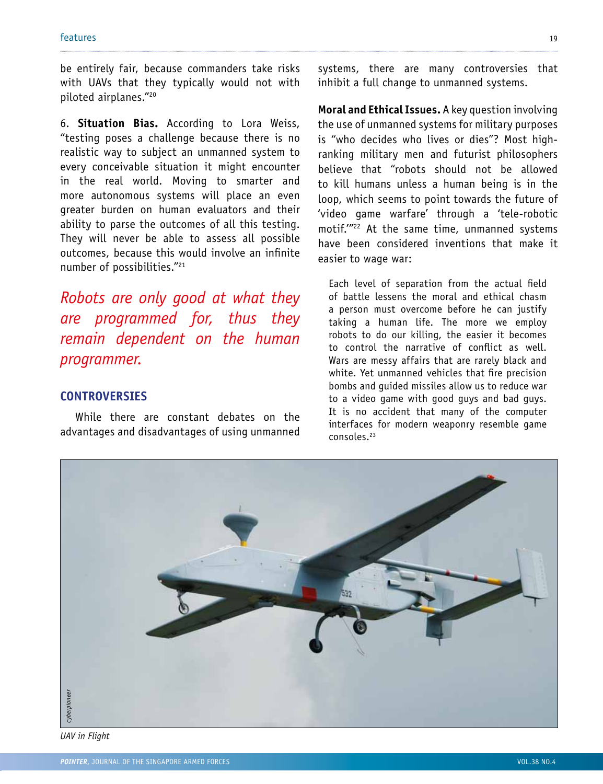be entirely fair, because commanders take risks with UAVs that they typically would not with piloted airplanes."20

6. **Situation Bias.** According to Lora Weiss, "testing poses a challenge because there is no realistic way to subject an unmanned system to every conceivable situation it might encounter in the real world. Moving to smarter and more autonomous systems will place an even greater burden on human evaluators and their ability to parse the outcomes of all this testing. They will never be able to assess all possible outcomes, because this would involve an infinite number of possibilities."21

*Robots are only good at what they are programmed for, thus they remain dependent on the human programmer.*

### **Controversies**

While there are constant debates on the advantages and disadvantages of using unmanned systems, there are many controversies that inhibit a full change to unmanned systems.

**Moral and Ethical Issues.** A key question involving the use of unmanned systems for military purposes is "who decides who lives or dies"? Most highranking military men and futurist philosophers believe that "robots should not be allowed to kill humans unless a human being is in the loop, which seems to point towards the future of 'video game warfare' through a 'tele-robotic motif.'"22 At the same time, unmanned systems have been considered inventions that make it easier to wage war:

Each level of separation from the actual field of battle lessens the moral and ethical chasm a person must overcome before he can justify taking a human life. The more we employ robots to do our killing, the easier it becomes to control the narrative of conflict as well. Wars are messy affairs that are rarely black and white. Yet unmanned vehicles that fire precision bombs and guided missiles allow us to reduce war to a video game with good guys and bad guys. It is no accident that many of the computer interfaces for modern weaponry resemble game consoles.23



*UAV in Flight*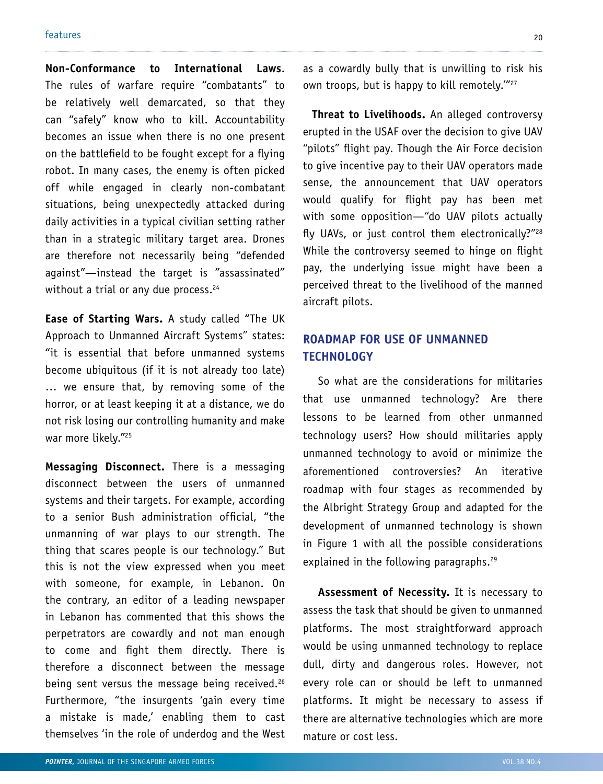**Non-Conformance to International Laws**. The rules of warfare require "combatants" to be relatively well demarcated, so that they can "safely" know who to kill. Accountability becomes an issue when there is no one present on the battlefield to be fought except for a flying robot. In many cases, the enemy is often picked off while engaged in clearly non-combatant situations, being unexpectedly attacked during daily activities in a typical civilian setting rather than in a strategic military target area. Drones are therefore not necessarily being "defended against"—instead the target is "assassinated" without a trial or any due process. $24$ 

**Ease of Starting Wars.** A study called "The UK Approach to Unmanned Aircraft Systems" states: "it is essential that before unmanned systems become ubiquitous (if it is not already too late) … we ensure that, by removing some of the horror, or at least keeping it at a distance, we do not risk losing our controlling humanity and make war more likely."25

**Messaging Disconnect.** There is a messaging disconnect between the users of unmanned systems and their targets. For example, according to a senior Bush administration official, "the unmanning of war plays to our strength. The thing that scares people is our technology." But this is not the view expressed when you meet with someone, for example, in Lebanon. On the contrary, an editor of a leading newspaper in Lebanon has commented that this shows the perpetrators are cowardly and not man enough to come and fight them directly. There is therefore a disconnect between the message being sent versus the message being received.<sup>26</sup> Furthermore, "the insurgents 'gain every time a mistake is made,' enabling them to cast themselves 'in the role of underdog and the West as a cowardly bully that is unwilling to risk his own troops, but is happy to kill remotely."<sup>27</sup>

 **Threat to Livelihoods.** An alleged controversy erupted in the USAF over the decision to give UAV "pilots" flight pay. Though the Air Force decision to give incentive pay to their UAV operators made sense, the announcement that UAV operators would qualify for flight pay has been met with some opposition—"do UAV pilots actually fly UAVs, or just control them electronically?"<sup>28</sup> While the controversy seemed to hinge on flight pay, the underlying issue might have been a perceived threat to the livelihood of the manned aircraft pilots.

# **Roadmap for Use of Unmanned Technology**

So what are the considerations for militaries that use unmanned technology? Are there lessons to be learned from other unmanned technology users? How should militaries apply unmanned technology to avoid or minimize the aforementioned controversies? An iterative roadmap with four stages as recommended by the Albright Strategy Group and adapted for the development of unmanned technology is shown in Figure 1 with all the possible considerations explained in the following paragraphs.<sup>29</sup>

**Assessment of Necessity.** It is necessary to assess the task that should be given to unmanned platforms. The most straightforward approach would be using unmanned technology to replace dull, dirty and dangerous roles. However, not every role can or should be left to unmanned platforms. It might be necessary to assess if there are alternative technologies which are more mature or cost less.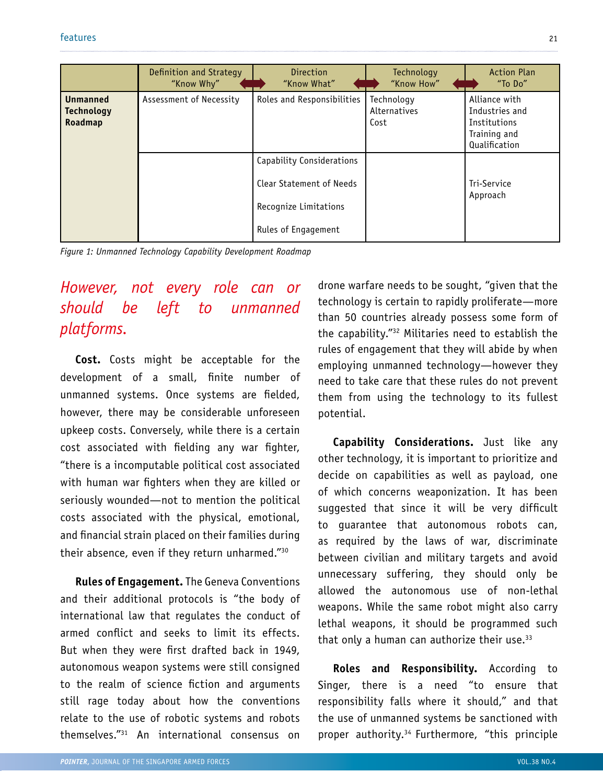|                                                 | Definition and Strategy<br>"Know Why" | <b>Direction</b><br>"Know What" | Technology<br>"Know How"           | <b>Action Plan</b><br>"To Do"                                                    |
|-------------------------------------------------|---------------------------------------|---------------------------------|------------------------------------|----------------------------------------------------------------------------------|
| <b>Unmanned</b><br><b>Technology</b><br>Roadmap | Assessment of Necessity               | Roles and Responsibilities      | Technology<br>Alternatives<br>Cost | Alliance with<br>Industries and<br>Institutions<br>Training and<br>Qualification |
|                                                 |                                       | Capability Considerations       |                                    |                                                                                  |
|                                                 |                                       | Clear Statement of Needs        |                                    | Tri-Service                                                                      |
|                                                 |                                       | Recognize Limitations           |                                    | Approach                                                                         |
|                                                 |                                       | Rules of Engagement             |                                    |                                                                                  |

*Figure 1: Unmanned Technology Capability Development Roadmap*

# *However, not every role can or should be left to unmanned platforms.*

**Cost.** Costs might be acceptable for the development of a small, finite number of unmanned systems. Once systems are fielded, however, there may be considerable unforeseen upkeep costs. Conversely, while there is a certain cost associated with fielding any war fighter, "there is a incomputable political cost associated with human war fighters when they are killed or seriously wounded—not to mention the political costs associated with the physical, emotional, and financial strain placed on their families during their absence, even if they return unharmed."30

**Rules of Engagement.** The Geneva Conventions and their additional protocols is "the body of international law that regulates the conduct of armed conflict and seeks to limit its effects. But when they were first drafted back in 1949, autonomous weapon systems were still consigned to the realm of science fiction and arguments still rage today about how the conventions relate to the use of robotic systems and robots themselves."31 An international consensus on

drone warfare needs to be sought, "given that the technology is certain to rapidly proliferate—more than 50 countries already possess some form of the capability."32 Militaries need to establish the rules of engagement that they will abide by when employing unmanned technology—however they need to take care that these rules do not prevent them from using the technology to its fullest potential.

**Capability Considerations.** Just like any other technology, it is important to prioritize and decide on capabilities as well as payload, one of which concerns weaponization. It has been suggested that since it will be very difficult to guarantee that autonomous robots can, as required by the laws of war, discriminate between civilian and military targets and avoid unnecessary suffering, they should only be allowed the autonomous use of non-lethal weapons. While the same robot might also carry lethal weapons, it should be programmed such that only a human can authorize their use. $33$ 

**Roles and Responsibility.** According to Singer, there is a need "to ensure that responsibility falls where it should," and that the use of unmanned systems be sanctioned with proper authority.<sup>34</sup> Furthermore, "this principle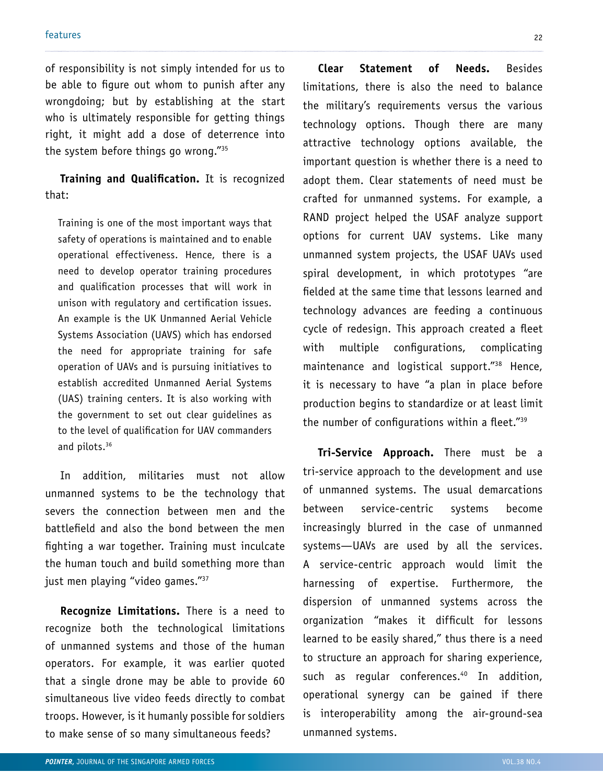of responsibility is not simply intended for us to be able to figure out whom to punish after any wrongdoing; but by establishing at the start who is ultimately responsible for getting things right, it might add a dose of deterrence into the system before things go wrong."35

**Training and Qualification.** It is recognized that:

Training is one of the most important ways that safety of operations is maintained and to enable operational effectiveness. Hence, there is a need to develop operator training procedures and qualification processes that will work in unison with regulatory and certification issues. An example is the UK Unmanned Aerial Vehicle Systems Association (UAVS) which has endorsed the need for appropriate training for safe operation of UAVs and is pursuing initiatives to establish accredited Unmanned Aerial Systems (UAS) training centers. It is also working with the government to set out clear guidelines as to the level of qualification for UAV commanders and pilots.36

In addition, militaries must not allow unmanned systems to be the technology that severs the connection between men and the battlefield and also the bond between the men fighting a war together. Training must inculcate the human touch and build something more than just men playing "video games."37

**Recognize Limitations.** There is a need to recognize both the technological limitations of unmanned systems and those of the human operators. For example, it was earlier quoted that a single drone may be able to provide 60 simultaneous live video feeds directly to combat troops. However, is it humanly possible for soldiers to make sense of so many simultaneous feeds?

**Clear Statement of Needs.** Besides limitations, there is also the need to balance the military's requirements versus the various technology options. Though there are many attractive technology options available, the important question is whether there is a need to adopt them. Clear statements of need must be crafted for unmanned systems. For example, a RAND project helped the USAF analyze support options for current UAV systems. Like many unmanned system projects, the USAF UAVs used spiral development, in which prototypes "are fielded at the same time that lessons learned and technology advances are feeding a continuous cycle of redesign. This approach created a fleet with multiple configurations, complicating maintenance and logistical support."38 Hence, it is necessary to have "a plan in place before production begins to standardize or at least limit the number of configurations within a fleet."39

**Tri-Service Approach.** There must be a tri-service approach to the development and use of unmanned systems. The usual demarcations between service-centric systems become increasingly blurred in the case of unmanned systems—UAVs are used by all the services. A service-centric approach would limit the harnessing of expertise. Furthermore, the dispersion of unmanned systems across the organization "makes it difficult for lessons learned to be easily shared," thus there is a need to structure an approach for sharing experience, such as regular conferences.<sup>40</sup> In addition, operational synergy can be gained if there is interoperability among the air-ground-sea unmanned systems.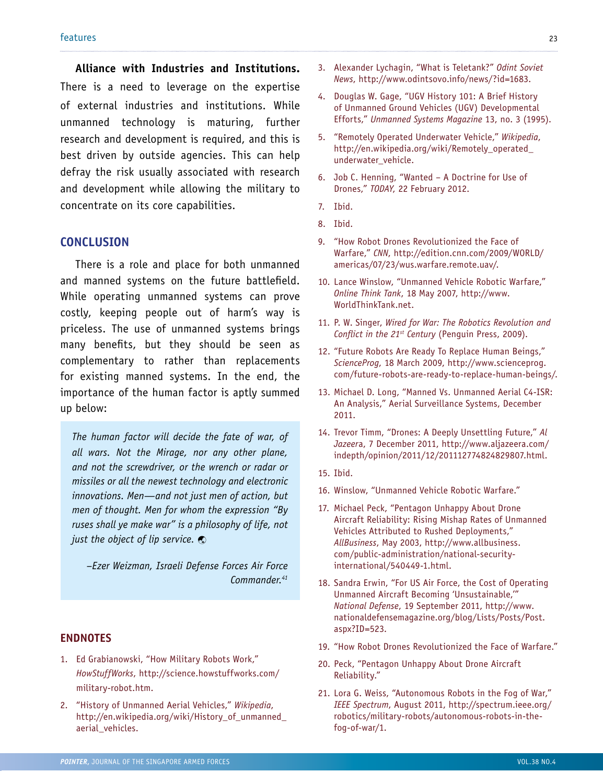**Alliance with Industries and Institutions.** There is a need to leverage on the expertise of external industries and institutions. While unmanned technology is maturing, further research and development is required, and this is best driven by outside agencies. This can help defray the risk usually associated with research and development while allowing the military to concentrate on its core capabilities.

#### **Conclusion**

There is a role and place for both unmanned and manned systems on the future battlefield. While operating unmanned systems can prove costly, keeping people out of harm's way is priceless. The use of unmanned systems brings many benefits, but they should be seen as complementary to rather than replacements for existing manned systems. In the end, the importance of the human factor is aptly summed up below:

*The human factor will decide the fate of war, of all wars. Not the Mirage, nor any other plane, and not the screwdriver, or the wrench or radar or missiles or all the newest technology and electronic innovations. Men—and not just men of action, but men of thought. Men for whom the expression "By ruses shall ye make war" is a philosophy of life, not just the object of lip service.*

*–Ezer Weizman, Israeli Defense Forces Air Force Commander.41*

#### **Endnotes**

- 1. Ed Grabianowski, "How Military Robots Work," *HowStuffWorks*, http://science.howstuffworks.com/ military-robot.htm.
- 2. "History of Unmanned Aerial Vehicles," *Wikipedia*, http://en.wikipedia.org/wiki/History\_of\_unmanned\_ aerial\_vehicles.
- 3. Alexander Lychagin, "What is Teletank?" *Odint Soviet News*, http://www.odintsovo.info/news/?id=1683.
- 4. Douglas W. Gage, "UGV History 101: A Brief History of Unmanned Ground Vehicles (UGV) Developmental Efforts," *Unmanned Systems Magazine* 13, no. 3 (1995).
- 5. "Remotely Operated Underwater Vehicle," *Wikipedia*, http://en.wikipedia.org/wiki/Remotely\_operated\_ underwater\_vehicle.
- 6. Job C. Henning, "Wanted A Doctrine for Use of Drones," *TODAY*, 22 February 2012.
- 7. Ibid.
- 8. Ibid.
- 9. "How Robot Drones Revolutionized the Face of Warfare," *CNN*, http://edition.cnn.com/2009/WORLD/ americas/07/23/wus.warfare.remote.uav/.
- 10. Lance Winslow, "Unmanned Vehicle Robotic Warfare," *Online Think Tank*, 18 May 2007, http://www. WorldThinkTank.net.
- 11. P. W. Singer, *Wired for War: The Robotics Revolution and Conflict in the 21st Century* (Penguin Press, 2009).
- 12. "Future Robots Are Ready To Replace Human Beings," *ScienceProg*, 18 March 2009, http://www.scienceprog. com/future-robots-are-ready-to-replace-human-beings/.
- 13. Michael D. Long, "Manned Vs. Unmanned Aerial C4-ISR: An Analysis," Aerial Surveillance Systems, December 2011.
- 14. Trevor Timm, "Drones: A Deeply Unsettling Future," *Al Jazeer*a, 7 December 2011, http://www.aljazeera.com/ indepth/opinion/2011/12/201112774824829807.html.
- 15. Ibid.
- 16. Winslow, "Unmanned Vehicle Robotic Warfare."
- 17. Michael Peck, "Pentagon Unhappy About Drone Aircraft Reliability: Rising Mishap Rates of Unmanned Vehicles Attributed to Rushed Deployments," *AllBusiness*, May 2003, http://www.allbusiness. com/public-administration/national-securityinternational/540449-1.html.
- 18. Sandra Erwin, "For US Air Force, the Cost of Operating Unmanned Aircraft Becoming 'Unsustainable,'" *National Defense*, 19 September 2011, http://www. nationaldefensemagazine.org/blog/Lists/Posts/Post. aspx?ID=523.
- 19. "How Robot Drones Revolutionized the Face of Warfare."
- 20. Peck, "Pentagon Unhappy About Drone Aircraft Reliability."
- 21. Lora G. Weiss, "Autonomous Robots in the Fog of War," *IEEE Spectrum*, August 2011, http://spectrum.ieee.org/ robotics/military-robots/autonomous-robots-in-thefog-of-war/1.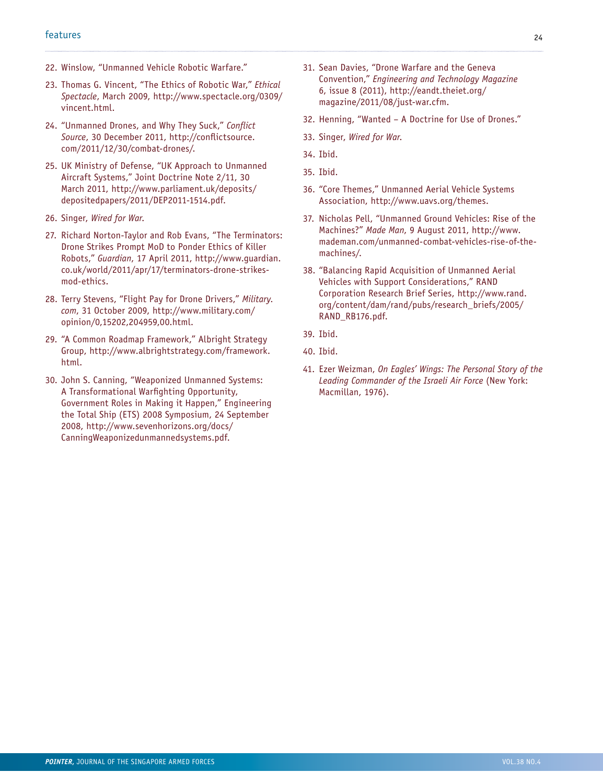- 22. Winslow, "Unmanned Vehicle Robotic Warfare."
- 23. Thomas G. Vincent, "The Ethics of Robotic War," *Ethical Spectacle*, March 2009, http://www.spectacle.org/0309/ vincent.html.
- 24. "Unmanned Drones, and Why They Suck," *Conflict Source*, 30 December 2011, http://conflictsource. com/2011/12/30/combat-drones/.
- 25. UK Ministry of Defense, "UK Approach to Unmanned Aircraft Systems," Joint Doctrine Note 2/11, 30 March 2011, http://www.parliament.uk/deposits/ depositedpapers/2011/DEP2011-1514.pdf.
- 26. Singer, *Wired for War*.
- 27. Richard Norton-Taylor and Rob Evans, "The Terminators: Drone Strikes Prompt MoD to Ponder Ethics of Killer Robots," *Guardian*, 17 April 2011, http://www.guardian. co.uk/world/2011/apr/17/terminators-drone-strikesmod-ethics.
- 28. Terry Stevens, "Flight Pay for Drone Drivers," *Military. com*, 31 October 2009, http://www.military.com/ opinion/0,15202,204959,00.html.
- 29. "A Common Roadmap Framework," Albright Strategy Group, http://www.albrightstrategy.com/framework. html.
- 30. John S. Canning, "Weaponized Unmanned Systems: A Transformational Warfighting Opportunity, Government Roles in Making it Happen," Engineering the Total Ship (ETS) 2008 Symposium, 24 September 2008, http://www.sevenhorizons.org/docs/ CanningWeaponizedunmannedsystems.pdf.
- 31. Sean Davies, "Drone Warfare and the Geneva Convention," *Engineering and Technology Magazine* 6, issue 8 (2011), http://eandt.theiet.org/ magazine/2011/08/just-war.cfm.
- 32. Henning, "Wanted A Doctrine for Use of Drones."
- 33. Singer, *Wired for War*.
- 34. Ibid.
- 35. Ibid.
- 36. "Core Themes," Unmanned Aerial Vehicle Systems Association, http://www.uavs.org/themes.
- 37. Nicholas Pell, "Unmanned Ground Vehicles: Rise of the Machines?" *Made Man*, 9 August 2011, http://www. mademan.com/unmanned-combat-vehicles-rise-of-themachines/.
- 38. "Balancing Rapid Acquisition of Unmanned Aerial Vehicles with Support Considerations," RAND Corporation Research Brief Series, http://www.rand. org/content/dam/rand/pubs/research\_briefs/2005/ RAND\_RB176.pdf.
- 39. Ibid.
- 40. Ibid.
- 41. Ezer Weizman, *On Eagles' Wings: The Personal Story of the Leading Commander of the Israeli Air Force* (New York: Macmillan, 1976).